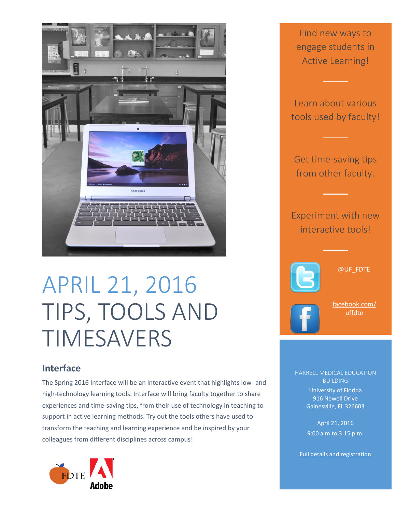

## APRIL 21, 2016 TIPS, TOOLS AND TIMESAVERS

## **Interface**

The Spring 2016 Interface will be an interactive event that highlights low- and high-technology learning tools. Interface will bring faculty together to share experiences and time-saving tips, from their use of technology in teaching to support in active learning methods. Try out the tools others have used to transform the teaching and learning experience and be inspired by your colleagues from different disciplines across campus!



Find new ways to engage students in Active Learning!

Learn about various tools used by faculty!

Get time-saving tips from other faculty.

Experiment with new interactive tools!



@UF\_FDTE

[facebook.com/](https://www.facebook.com/uffdte) [uffdte](https://www.facebook.com/uffdte)

HARRELL MEDICAL EDUCATION BUILDING University of Florida

> 916 Newell Drive Gainesville, FL 326603

> April 21, 2016 9:00 a.m.to 3:15 p.m.

[Full details and registration](http://teach.ufl.edu/development/2016-interface-tips-tools-and-timesavers/)